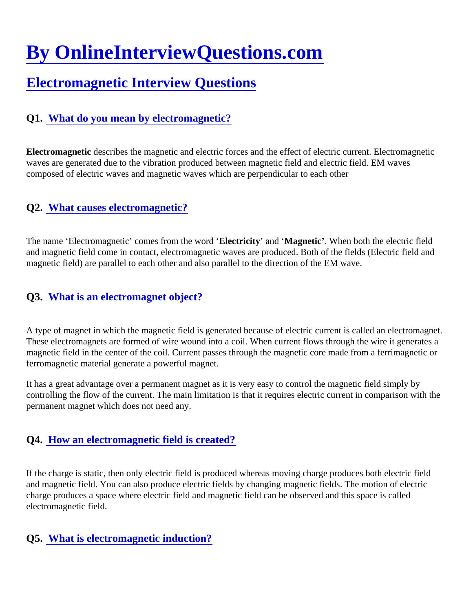# [By OnlineInterviewQuestions.com](https://www.onlineinterviewquestions.com/)

# [Electromagnetic Interview Questions](https://www.onlineinterviewquestions.com/electromagnetic-interview-questions/)

# Q1. [What do you mean by electromagnetic](https://www.onlineinterviewquestions.com/what-do-you-mean-by-electromagnetic/)?

Electromagnetic describes the magnetic and electric forces and the effect of electric current. Electromagnetic waves are generated due to the vibration produced between magnetic field and electric field. EM waves composed of electric waves and magnetic waves which are perpendicular to each other

# Q2. [What causes electromagnetic](https://www.onlineinterviewquestions.com/what-causes-electromagnetic/)?

The name 'Electromagnetic' comes from the word betricity' and 'Magnetic'. When both the electric field and magnetic field come in contact, electromagnetic waves are produced. Both of the fields (Electric field and magnetic field) are parallel to each other and also parallel to the direction of the EM wave.

# Q3. [What is an electromagnet object?](https://www.onlineinterviewquestions.com/what-is-an-electromagnet-object/)

A type of magnet in which the magnetic field is generated because of electric current is called an electromagr These electromagnets are formed of wire wound into a coil. When current flows through the wire it generates a magnetic field in the center of the coil. Current passes through the magnetic core made from a ferrimagnetic or ferromagnetic material generate a powerful magnet.

It has a great advantage over a permanent magnet as it is very easy to control the magnetic field simply by controlling the flow of the current. The main limitation is that it requires electric current in comparison with the permanent magnet which does not need any.

### Q4. [How an electromagnetic field is created](https://www.onlineinterviewquestions.com/how-an-electromagnetic-field-is-created/)?

If the charge is static, then only electric field is produced whereas moving charge produces both electric field and magnetic field. You can also produce electric fields by changing magnetic fields. The motion of electric charge produces a space where electric field and magnetic field can be observed and this space is called electromagnetic field.

### Q5. [What is electromagnetic induction?](https://www.onlineinterviewquestions.com/what-is-electromagnetic-induction/)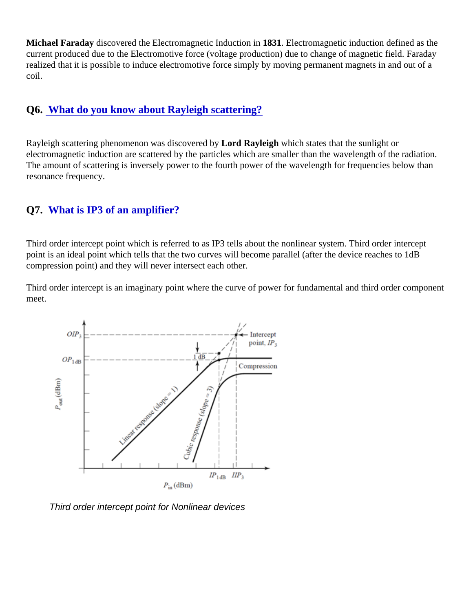Michael Faraday discovered the Electromagnetic Induction 881. Electromagnetic induction defined as the current produced due to the Electromotive force (voltage production) due to change of magnetic field. Farada realized that it is possible to induce electromotive force simply by moving permanent magnets in and out of a coil.

# Q6. [What do you know about Rayleigh scattering?](https://www.onlineinterviewquestions.com/what-do-you-know-about-rayleigh-scattering/)

Rayleigh scattering phenomenon was discovered bot Rayleigh which states that the sunlight or electromagnetic induction are scattered by the particles which are smaller than the wavelength of the radiatio The amount of scattering is inversely power to the fourth power of the wavelength for frequencies below than resonance frequency.

# Q7. [What is IP3 of an amplifier?](https://www.onlineinterviewquestions.com/what-is-ip3-of-an-amplifier/)

Third order intercept point which is referred to as IP3 tells about the nonlinear system. Third order intercept point is an ideal point which tells that the two curves will become parallel (after the device reaches to 1dB compression point) and they will never intersect each other.

Third order intercept is an imaginary point where the curve of power for fundamental and third order component meet.

Third order intercept point for Nonlinear devices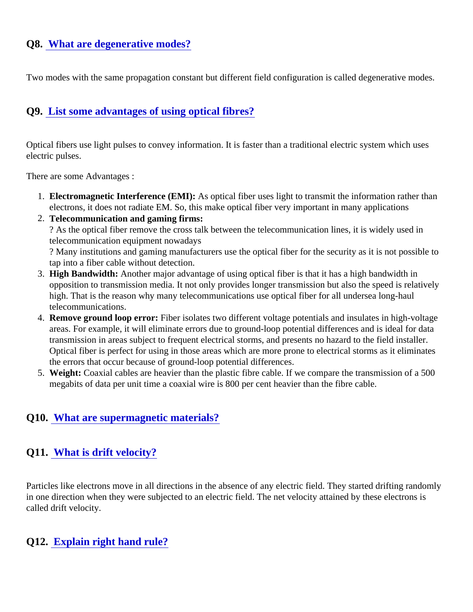# Q8. [What are degenerative modes](https://www.onlineinterviewquestions.com/what-are-degenerative-modes/)?

Two modes with the same propagation constant but different field configuration is called degenerative modes

# Q9. [List some advantages of using optical fibres](https://www.onlineinterviewquestions.com/list-some-advantages-of-using-optical-fibres/)?

Optical fibers use light pulses to convey information. It is faster than a traditional electric system which uses electric pulses.

There are some Advantages :

- 1. Electromagnetic Interference (EMI): As optical fiber uses light to transmit the information rather than electrons, it does not radiate EM. So, this make optical fiber very important in many applications
- 2. Telecommunication and gaming firms: ? As the optical fiber remove the cross talk between the telecommunication lines, it is widely used in telecommunication equipment nowadays

? Many institutions and gaming manufacturers use the optical fiber for the security as it is not possible to tap into a fiber cable without detection.

- 3. High Bandwidth: Another major advantage of using optical fiber is that it has a high bandwidth in opposition to transmission media. It not only provides longer transmission but also the speed is relativel high. That is the reason why many telecommunications use optical fiber for all undersea long-haul telecommunications.
- 4. Remove ground loop error: Fiber isolates two different voltage potentials and insulates in high-voltage areas. For example, it will eliminate errors due to ground-loop potential differences and is ideal for data transmission in areas subject to frequent electrical storms, and presents no hazard to the field installer. Optical fiber is perfect for using in those areas which are more prone to electrical storms as it eliminates the errors that occur because of ground-loop potential differences.
- 5. Weight: Coaxial cables are heavier than the plastic fibre cable. If we compare the transmission of a 500 megabits of data per unit time a coaxial wire is 800 per cent heavier than the fibre cable.

### Q10. [What are supermagnetic materials?](https://www.onlineinterviewquestions.com/what-are-supermagnetic-materials/)

### Q11. [What is drift velocity?](https://www.onlineinterviewquestions.com/what-is-drift-velocity/)

Particles like electrons move in all directions in the absence of any electric field. They started drifting randoml in one direction when they were subjected to an electric field. The net velocity attained by these electrons is called drift velocity.

#### Q12. [Explain right hand rule?](https://www.onlineinterviewquestions.com/explain-right-hand-rule/)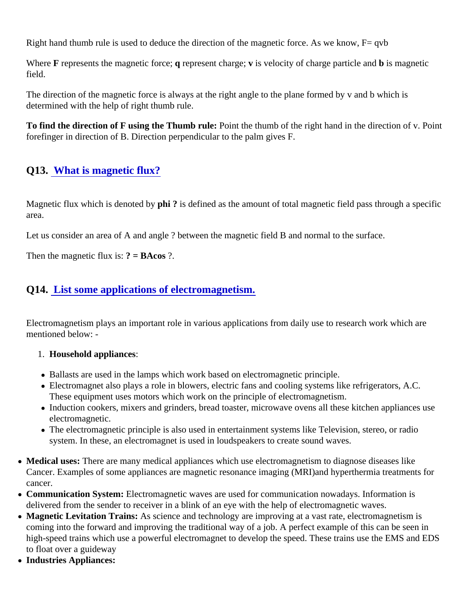Right hand thumb rule is used to deduce the direction of the magnetic force. As we know,  $F= qvb$ 

Where F represents the magnetic for getepresent charge; is velocity of charge particle and b is magnetic field.

The direction of the magnetic force is always at the right angle to the plane formed by v and b which is determined with the help of right thumb rule.

To find the direction of F using the Thumb rule: Point the thumb of the right hand in the direction of v. Point forefinger in direction of B. Direction perpendicular to the palm gives F.

# Q13. [What is magnetic flux?](https://www.onlineinterviewquestions.com/what-is-magnetic-flux/)

Magnetic flux which is denoted by hi? is defined as the amount of total magnetic field pass through a specific area.

Let us consider an area of A and angle ? between the magnetic field B and normal to the surface.

Then the magnetic flux  $i\mathcal{S}$  = BAcos?.

# Q14. [List some applications of electromagnetism](https://www.onlineinterviewquestions.com/list-some-applications-of-electromagnetism/).

Electromagnetism plays an important role in various applications from daily use to research work which are mentioned below: -

- 1. Household appliances:
- Ballasts are used in the lamps which work based on electromagnetic principle.
- Electromagnet also plays a role in blowers, electric fans and cooling systems like refrigerators, A.C. These equipment uses motors which work on the principle of electromagnetism.
- Induction cookers, mixers and grinders, bread toaster, microwave ovens all these kitchen appliances us electromagnetic.
- The electromagnetic principle is also used in entertainment systems like Television, stereo, or radio system. In these, an electromagnet is used in loudspeakers to create sound waves.
- Medical uses: There are many medical appliances which use electromagnetism to diagnose diseases like Cancer. Examples of some appliances are magnetic resonance imaging (MRI)and hyperthermia treatments for cancer.
- Communication System: Electromagnetic waves are used for communication nowadays. Information is delivered from the sender to receiver in a blink of an eye with the help of electromagnetic waves.
- Magnetic Levitation Trains: As science and technology are improving at a vast rate, electromagnetism is coming into the forward and improving the traditional way of a job. A perfect example of this can be seen in high-speed trains which use a powerful electromagnet to develop the speed. These trains use the EMS and E to float over a guideway
- Industries Appliances: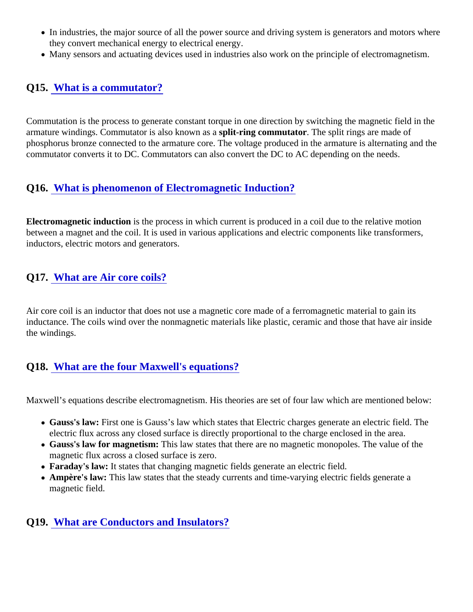- In industries, the major source of all the power source and driving system is generators and motors whe they convert mechanical energy to electrical energy.
- Many sensors and actuating devices used in industries also work on the principle of electromagnetism.

## Q15. [What is a commutator?](https://www.onlineinterviewquestions.com/what-is-a-commutator/)

Commutation is the process to generate constant torque in one direction by switching the magnetic field in the armature windings. Commutator is also known aplia-ring commutator. The split rings are made of phosphorus bronze connected to the armature core. The voltage produced in the armature is alternating and commutator converts it to DC. Commutators can also convert the DC to AC depending on the needs.

# Q16. [What is phenomenon of Electromagnetic Induction?](https://www.onlineinterviewquestions.com/what-is-phenomenon-of-electromagnetic-induction/)

Electromagnetic induction is the process in which current is produced in a coil due to the relative motion between a magnet and the coil. It is used in various applications and electric components like transformers, inductors, electric motors and generators.

# Q17. [What are Air core coils?](https://www.onlineinterviewquestions.com/what-are-air-core-coils/)

Air core coil is an inductor that does not use a magnetic core made of a ferromagnetic material to gain its inductance. The coils wind over the nonmagnetic materials like plastic, ceramic and those that have air inside the windings.

### Q18. [What are the four Maxwell's equations?](https://www.onlineinterviewquestions.com/what-are-the-four-maxwell-s-equations/)

Maxwell's equations describe electromagnetism. His theories are set of four law which are mentioned below:

- Gauss's law: First one is Gauss's law which states that Electric charges generate an electric field. The electric flux across any closed surface is directly proportional to the charge enclosed in the area.
- Gauss's law for magnetism: This law states that there are no magnetic monopoles. The value of the magnetic flux across a closed surface is zero.
- Faraday's law: It states that changing magnetic fields generate an electric field.
- Ampère's law: This law states that the steady currents and time-varying electric fields generate a magnetic field.

### Q19. [What are Conductors and Insulators?](https://www.onlineinterviewquestions.com/what-are-conductors-and-insulators/)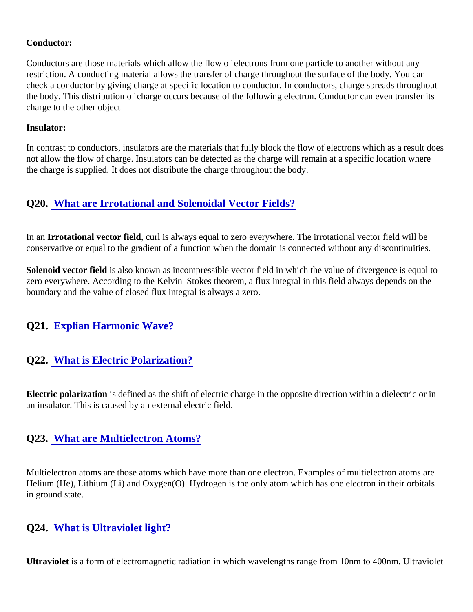#### Conductor:

Conductors are those materials which allow the flow of electrons from one particle to another without any restriction. A conducting material allows the transfer of charge throughout the surface of the body. You can check a conductor by giving charge at specific location to conductor. In conductors, charge spreads througho the body. This distribution of charge occurs because of the following electron. Conductor can even transfer its charge to the other object

#### Insulator:

In contrast to conductors, insulators are the materials that fully block the flow of electrons which as a result do not allow the flow of charge. Insulators can be detected as the charge will remain at a specific location where the charge is supplied. It does not distribute the charge throughout the body.

### Q20. [What are Irrotational and Solenoidal Vector Fields?](https://www.onlineinterviewquestions.com/what-are-irrotational-and-solenoidal-vector-fields/)

In an Irrotational vector field, curl is always equal to zero everywhere. The irrotational vector field will be conservative or equal to the gradient of a function when the domain is connected without any discontinuities.

Solenoid vector fieldis also known as incompressible vector field in which the value of divergence is equal to zero everywhere. According to the Kelvin–Stokes theorem, a flux integral in this field always depends on the boundary and the value of closed flux integral is always a zero.

### Q21. [Explian Harmonic Wave?](https://www.onlineinterviewquestions.com/explian-harmonic-wave/)

# Q22. [What is Electric Polarization?](https://www.onlineinterviewquestions.com/what-is-electric-polarization/)

Electric polarization is defined as the shift of electric charge in the opposite direction within a dielectric or in an insulator. This is caused by an external electric field.

#### Q23. [What are Multielectron Atoms?](https://www.onlineinterviewquestions.com/what-are-multielectron-atoms/)

Multielectron atoms are those atoms which have more than one electron. Examples of multielectron atoms ar Helium (He), Lithium (Li) and Oxygen(O). Hydrogen is the only atom which has one electron in their orbitals in ground state.

### Q24. [What is Ultraviolet light?](https://www.onlineinterviewquestions.com/what-is-ultraviolet-light/)

Ultraviolet is a form of electromagnetic radiation in which wavelengths range from 10nm to 400nm. Ultraviole